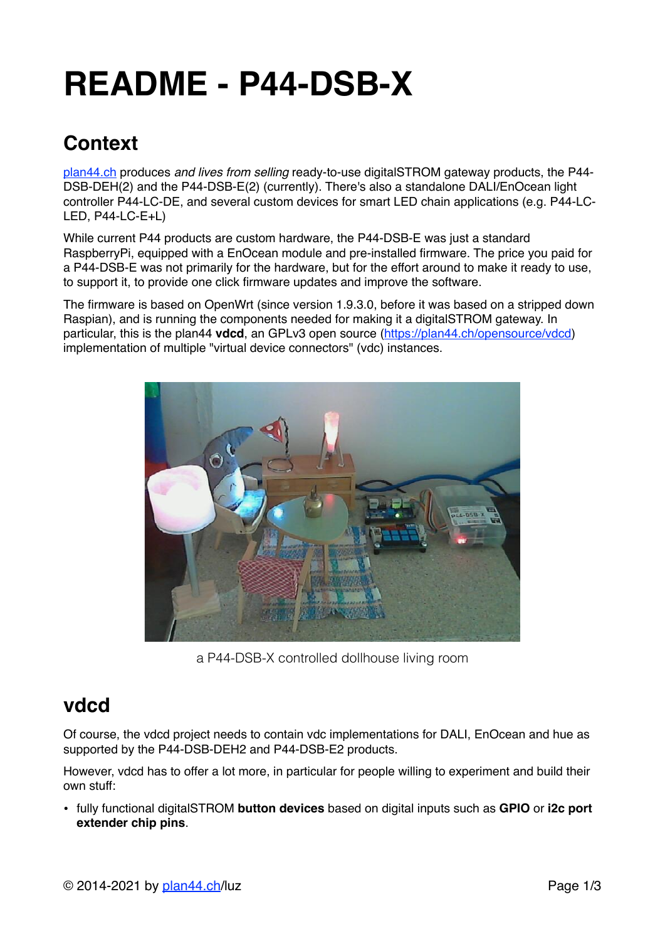# **README - P44-DSB-X**

# **Context**

[plan44.ch](http://plan44.ch/automation) produces *and lives from selling* ready-to-use digitalSTROM gateway products, the P44- DSB-DEH(2) and the P44-DSB-E(2) (currently). There's also a standalone DALI/EnOcean light controller P44-LC-DE, and several custom devices for smart LED chain applications (e.g. P44-LC-LED, P44-LC-E+L)

While current P44 products are custom hardware, the P44-DSB-E was just a standard RaspberryPi, equipped with a EnOcean module and pre-installed firmware. The price you paid for a P44-DSB-E was not primarily for the hardware, but for the effort around to make it ready to use, to support it, to provide one click firmware updates and improve the software.

The firmware is based on OpenWrt (since version 1.9.3.0, before it was based on a stripped down Raspian), and is running the components needed for making it a digitalSTROM gateway. In particular, this is the plan44 **vdcd**, an GPLv3 open source [\(https://plan44.ch/opensource/vdcd\)](https://plan44.ch/opensource/vdcd) implementation of multiple "virtual device connectors" (vdc) instances.



a P44-DSB-X controlled dollhouse living room

### **vdcd**

Of course, the vdcd project needs to contain vdc implementations for DALI, EnOcean and hue as supported by the P44-DSB-DEH2 and P44-DSB-E2 products.

However, vdcd has to offer a lot more, in particular for people willing to experiment and build their own stuff:

• fully functional digitalSTROM **button devices** based on digital inputs such as **GPIO** or **i2c port extender chip pins**.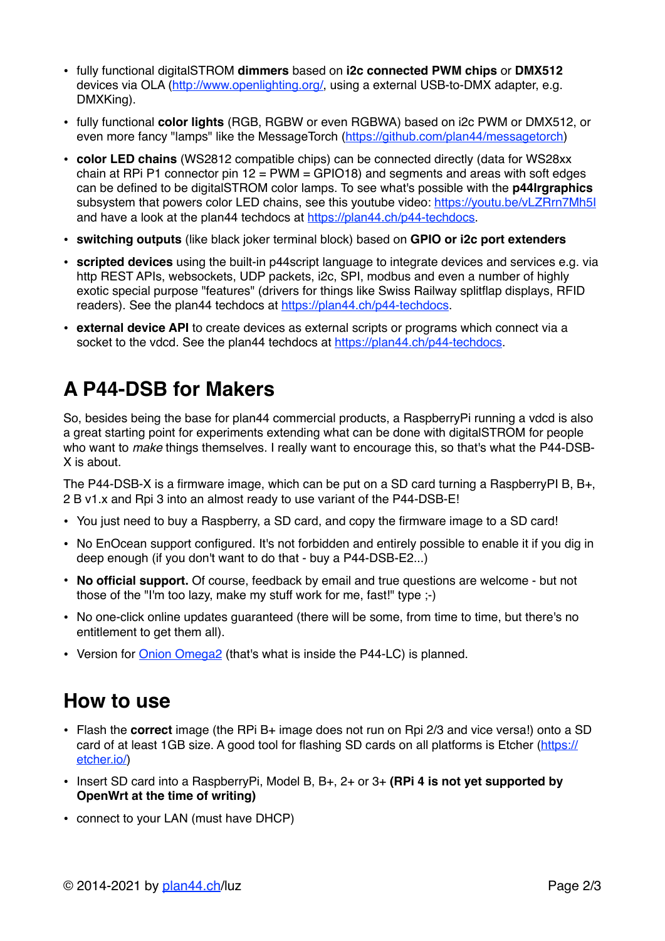- fully functional digitalSTROM **dimmers** based on **i2c connected PWM chips** or **DMX512** devices via OLA [\(http://www.openlighting.org/](http://www.openlighting.org/), using a external USB-to-DMX adapter, e.g. DMXKing).
- fully functional **color lights** (RGB, RGBW or even RGBWA) based on i2c PWM or DMX512, or even more fancy "lamps" like the MessageTorch [\(https://github.com/plan44/messagetorch](https://github.com/plan44/messagetorch))
- **color LED chains** (WS2812 compatible chips) can be connected directly (data for WS28xx chain at RPi P1 connector pin  $12 = PWM = GPIO18$ ) and segments and areas with soft edges can be defined to be digitalSTROM color lamps. To see what's possible with the **p44lrgraphics** subsystem that powers color LED chains, see this youtube video:<https://youtu.be/vLZRrn7Mh5I> and have a look at the plan44 techdocs at<https://plan44.ch/p44-techdocs>.
- **switching outputs** (like black joker terminal block) based on **GPIO or i2c port extenders**
- **scripted devices** using the built-in p44script language to integrate devices and services e.g. via http REST APIs, websockets, UDP packets, i2c, SPI, modbus and even a number of highly exotic special purpose "features" (drivers for things like Swiss Railway splitflap displays, RFID readers). See the plan44 techdocs at [https://plan44.ch/p44-techdocs.](https://plan44.ch/p44-techdocs)
- **external device API** to create devices as external scripts or programs which connect via a socket to the vdcd. See the plan44 techdocs at [https://plan44.ch/p44-techdocs.](https://plan44.ch/p44-techdocs)

# **A P44-DSB for Makers**

So, besides being the base for plan44 commercial products, a RaspberryPi running a vdcd is also a great starting point for experiments extending what can be done with digitalSTROM for people who want to *make* things themselves. I really want to encourage this, so that's what the P44-DSB-X is about.

The P44-DSB-X is a firmware image, which can be put on a SD card turning a RaspberryPI B, B+, 2 B v1.x and Rpi 3 into an almost ready to use variant of the P44-DSB-E!

- You just need to buy a Raspberry, a SD card, and copy the firmware image to a SD card!
- No EnOcean support configured. It's not forbidden and entirely possible to enable it if you dig in deep enough (if you don't want to do that - buy a P44-DSB-E2...)
- **No official support.** Of course, feedback by email and true questions are welcome but not those of the "I'm too lazy, make my stuff work for me, fast!" type ;-)
- No one-click online updates guaranteed (there will be some, from time to time, but there's no entitlement to get them all).
- Version for [Onion Omega2](https://onion.io/omega2) (that's what is inside the P44-LC) is planned.

#### **How to use**

- Flash the **correct** image (the RPi B+ image does not run on Rpi 2/3 and vice versa!) onto a SD card of at least 1GB size. A good tool for flashing SD cards on all platforms is Etcher [\(https://](https://etcher.io/) [etcher.io/](https://etcher.io/))
- Insert SD card into a RaspberryPi, Model B, B+, 2+ or 3+ **(RPi 4 is not yet supported by OpenWrt at the time of writing)**
- connect to your LAN (must have DHCP)